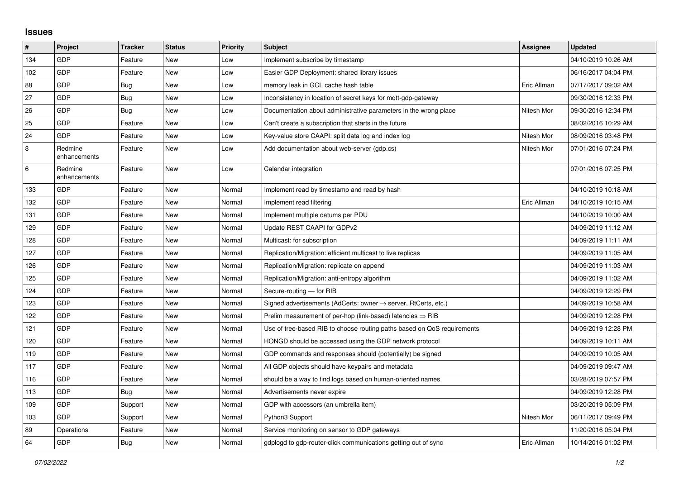## **Issues**

| #   | Project                 | <b>Tracker</b> | <b>Status</b> | <b>Priority</b> | <b>Subject</b>                                                             | Assignee    | <b>Updated</b>      |
|-----|-------------------------|----------------|---------------|-----------------|----------------------------------------------------------------------------|-------------|---------------------|
| 134 | GDP                     | Feature        | <b>New</b>    | Low             | Implement subscribe by timestamp                                           |             | 04/10/2019 10:26 AM |
| 102 | GDP                     | Feature        | <b>New</b>    | Low             | Easier GDP Deployment: shared library issues                               |             | 06/16/2017 04:04 PM |
| 88  | GDP                     | Bug            | <b>New</b>    | Low             | memory leak in GCL cache hash table                                        | Eric Allman | 07/17/2017 09:02 AM |
| 27  | GDP                     | Bug            | New           | Low             | Inconsistency in location of secret keys for mgtt-gdp-gateway              |             | 09/30/2016 12:33 PM |
| 26  | GDP                     | Bug            | New           | Low             | Documentation about administrative parameters in the wrong place           | Nitesh Mor  | 09/30/2016 12:34 PM |
| 25  | GDP                     | Feature        | <b>New</b>    | Low             | Can't create a subscription that starts in the future                      |             | 08/02/2016 10:29 AM |
| 24  | GDP                     | Feature        | New           | Low             | Key-value store CAAPI: split data log and index log                        | Nitesh Mor  | 08/09/2016 03:48 PM |
| 8   | Redmine<br>enhancements | Feature        | <b>New</b>    | Low             | Add documentation about web-server (gdp.cs)                                | Nitesh Mor  | 07/01/2016 07:24 PM |
| 6   | Redmine<br>enhancements | Feature        | <b>New</b>    | Low             | Calendar integration                                                       |             | 07/01/2016 07:25 PM |
| 133 | GDP                     | Feature        | <b>New</b>    | Normal          | Implement read by timestamp and read by hash                               |             | 04/10/2019 10:18 AM |
| 132 | GDP                     | Feature        | New           | Normal          | Implement read filtering                                                   | Eric Allman | 04/10/2019 10:15 AM |
| 131 | GDP                     | Feature        | <b>New</b>    | Normal          | Implement multiple datums per PDU                                          |             | 04/10/2019 10:00 AM |
| 129 | GDP                     | Feature        | New           | Normal          | Update REST CAAPI for GDPv2                                                |             | 04/09/2019 11:12 AM |
| 128 | GDP                     | Feature        | New           | Normal          | Multicast: for subscription                                                |             | 04/09/2019 11:11 AM |
| 127 | GDP                     | Feature        | New           | Normal          | Replication/Migration: efficient multicast to live replicas                |             | 04/09/2019 11:05 AM |
| 126 | GDP                     | Feature        | <b>New</b>    | Normal          | Replication/Migration: replicate on append                                 |             | 04/09/2019 11:03 AM |
| 125 | GDP                     | Feature        | <b>New</b>    | Normal          | Replication/Migration: anti-entropy algorithm                              |             | 04/09/2019 11:02 AM |
| 124 | GDP                     | Feature        | <b>New</b>    | Normal          | Secure-routing - for RIB                                                   |             | 04/09/2019 12:29 PM |
| 123 | GDP                     | Feature        | New           | Normal          | Signed advertisements (AdCerts: owner $\rightarrow$ server, RtCerts, etc.) |             | 04/09/2019 10:58 AM |
| 122 | GDP                     | Feature        | <b>New</b>    | Normal          | Prelim measurement of per-hop (link-based) latencies $\Rightarrow$ RIB     |             | 04/09/2019 12:28 PM |
| 121 | GDP                     | Feature        | <b>New</b>    | Normal          | Use of tree-based RIB to choose routing paths based on QoS requirements    |             | 04/09/2019 12:28 PM |
| 120 | GDP                     | Feature        | New           | Normal          | HONGD should be accessed using the GDP network protocol                    |             | 04/09/2019 10:11 AM |
| 119 | GDP                     | Feature        | <b>New</b>    | Normal          | GDP commands and responses should (potentially) be signed                  |             | 04/09/2019 10:05 AM |
| 117 | GDP                     | Feature        | <b>New</b>    | Normal          | All GDP objects should have keypairs and metadata                          |             | 04/09/2019 09:47 AM |
| 116 | GDP                     | Feature        | <b>New</b>    | Normal          | should be a way to find logs based on human-oriented names                 |             | 03/28/2019 07:57 PM |
| 113 | GDP                     | Bug            | New           | Normal          | Advertisements never expire                                                |             | 04/09/2019 12:28 PM |
| 109 | GDP                     | Support        | New           | Normal          | GDP with accessors (an umbrella item)                                      |             | 03/20/2019 05:09 PM |
| 103 | GDP                     | Support        | New           | Normal          | Python3 Support                                                            | Nitesh Mor  | 06/11/2017 09:49 PM |
| 89  | Operations              | Feature        | <b>New</b>    | Normal          | Service monitoring on sensor to GDP gateways                               |             | 11/20/2016 05:04 PM |
| 64  | GDP                     | <b>Bug</b>     | New           | Normal          | gdplogd to gdp-router-click communications getting out of sync             | Eric Allman | 10/14/2016 01:02 PM |